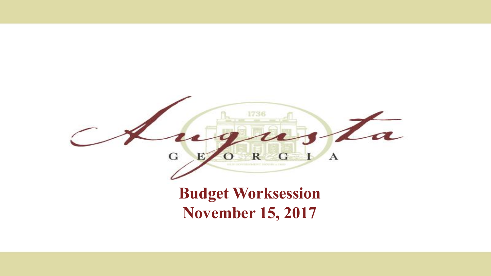

#### **Budget Worksession November 15, 2017**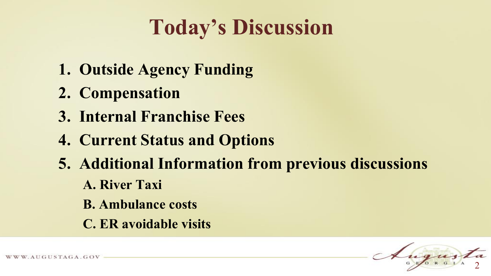### **Today's Discussion**

- **1. Outside Agency Funding**
- **2. Compensation**
- **3. Internal Franchise Fees**
- **4. Current Status and Options**
- **5. Additional Information from previous discussions**
	- **A. River Taxi**
	- **B. Ambulance costs**
	- **C. ER avoidable visits**

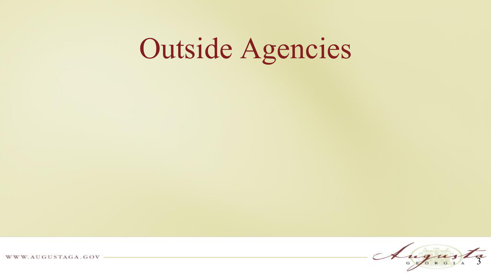# Outside Agencies

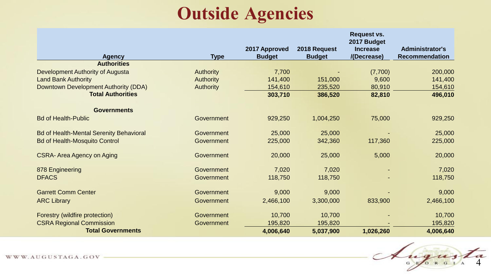#### **Outside Agencies**

| <b>Agency</b>                                  | <b>Type</b>      | 2017 Approved<br><b>Budget</b> | 2018 Request<br><b>Budget</b> | <b>Request vs.</b><br>2017 Budget<br><b>Increase</b><br>/(Decrease) | <b>Administrator's</b><br><b>Recommendation</b> |
|------------------------------------------------|------------------|--------------------------------|-------------------------------|---------------------------------------------------------------------|-------------------------------------------------|
| <b>Authorities</b>                             |                  |                                |                               |                                                                     |                                                 |
| Development Authority of Augusta               | <b>Authority</b> | 7,700                          |                               | (7,700)                                                             | 200,000                                         |
| <b>Land Bank Authority</b>                     | <b>Authority</b> | 141,400                        | 151,000                       | 9,600                                                               | 141,400                                         |
| Downtown Development Authority (DDA)           | <b>Authority</b> | 154,610                        | 235,520                       | 80,910                                                              | 154,610                                         |
| <b>Total Authorities</b>                       |                  | 303,710                        | 386,520                       | 82,810                                                              | 496,010                                         |
| <b>Governments</b>                             |                  |                                |                               |                                                                     |                                                 |
| <b>Bd of Health-Public</b>                     | Government       | 929,250                        | 1,004,250                     | 75,000                                                              | 929,250                                         |
| <b>Bd of Health-Mental Serenity Behavioral</b> | Government       | 25,000                         | 25,000                        |                                                                     | 25,000                                          |
| <b>Bd of Health-Mosquito Control</b>           | Government       | 225,000                        | 342,360                       | 117,360                                                             | 225,000                                         |
| <b>CSRA-Area Agency on Aging</b>               | Government       | 20,000                         | 25,000                        | 5,000                                                               | 20,000                                          |
| 878 Engineering                                | Government       | 7,020                          | 7,020                         |                                                                     | 7,020                                           |
| <b>DFACS</b>                                   | Government       | 118,750                        | 118,750                       |                                                                     | 118,750                                         |
| <b>Garrett Comm Center</b>                     | Government       | 9,000                          | 9,000                         |                                                                     | 9,000                                           |
| <b>ARC Library</b>                             | Government       | 2,466,100                      | 3,300,000                     | 833,900                                                             | 2,466,100                                       |
| Forestry (wildfire protection)                 | Government       | 10,700                         | 10,700                        |                                                                     | 10,700                                          |
| <b>CSRA Regional Commission</b>                | Government       | 195,820                        | 195,820                       |                                                                     | 195,820                                         |
| <b>Total Governments</b>                       |                  | 4,006,640                      | 5,037,900                     | 1,026,260                                                           | 4,006,640                                       |

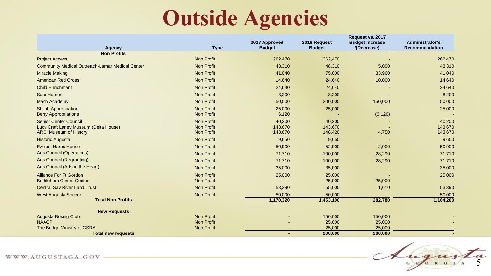### **Outside Agencies**

| Agency                                                                                                | <b>Type</b>                                                 | 2017 Approved<br><b>Budget</b> | 2018 Request<br><b>Budget</b> | Request vs. 2017<br><b>Budget Increase</b><br>/(Decrease) | <b>Administrator's</b><br><b>Recommendation</b> |
|-------------------------------------------------------------------------------------------------------|-------------------------------------------------------------|--------------------------------|-------------------------------|-----------------------------------------------------------|-------------------------------------------------|
| <b>Non Profits</b>                                                                                    |                                                             |                                |                               |                                                           |                                                 |
| <b>Project Access</b>                                                                                 | <b>Non Profit</b>                                           | 262,470                        | 262,470                       |                                                           | 262,470                                         |
| <b>Community Medical Outreach-Lamar Medical Center</b>                                                | <b>Non Profit</b>                                           | 43,310                         | 48,310                        | 5,000                                                     | 43,310                                          |
| <b>Miracle Making</b>                                                                                 | <b>Non Profit</b>                                           | 41,040                         | 75,000                        | 33,960                                                    | 41,040                                          |
| <b>American Red Cross</b>                                                                             | <b>Non Profit</b>                                           | 14,640                         | 24,640                        | 10,000                                                    | 14,640                                          |
| <b>Child Enrichment</b>                                                                               | <b>Non Profit</b>                                           | 24,640                         | 24,640                        |                                                           | 24,640                                          |
| Safe Homes                                                                                            | <b>Non Profit</b>                                           | 8,200                          | 8,200                         |                                                           | 8,200                                           |
| <b>Mach Academy</b>                                                                                   | <b>Non Profit</b>                                           | 50,000                         | 200,000                       | 150,000                                                   | 50,000                                          |
| <b>Shiloh Appropriation</b><br><b>Berry Appropriations</b>                                            | <b>Non Profit</b><br><b>Non Profit</b>                      | 25,000<br>6,120                | 25,000                        | (6, 120)                                                  | 25,000                                          |
| <b>Senior Center Council</b><br>Lucy Craft Laney Museum (Delta House)<br><b>ARC</b> Museum of History | <b>Non Profit</b><br><b>Non Profit</b><br><b>Non Profit</b> | 40,200<br>143,670<br>143,670   | 40,200<br>143,670<br>148,420  | 4,750                                                     | 40,200<br>143,670<br>143,670                    |
| <b>Historic Augusta</b>                                                                               | <b>Non Profit</b>                                           | 9,650                          | 9,650                         |                                                           | 9,650                                           |
| <b>Ezekiel Harris House</b>                                                                           | <b>Non Profit</b>                                           | 50,900                         | 52,900                        | 2,000                                                     | 50,900                                          |
| <b>Arts Council (Operations)</b>                                                                      | <b>Non Profit</b>                                           | 71,710                         | 100,000                       | 28,290                                                    | 71,710                                          |
| <b>Arts Council (Regranting)</b>                                                                      | <b>Non Profit</b>                                           | 71,710                         | 100,000                       | 28,290                                                    | 71,710                                          |
| Arts Council (Arts in the Heart)                                                                      | <b>Non Profit</b>                                           | 35,000                         | 35,000                        |                                                           | 35,000                                          |
| Alliance For Ft Gordon<br><b>Bethlehem Comm Center</b>                                                | Non Profit<br><b>Non Profit</b>                             | 25,000                         | 25,000<br>25,000              | 25,000                                                    | 25,000                                          |
| <b>Central Say River Land Trust</b>                                                                   | <b>Non Profit</b>                                           | 53,390                         | 55,000                        | 1,610                                                     | 53,390                                          |
| <b>West Augusta Soccer</b>                                                                            | <b>Non Profit</b>                                           | 50,000                         | 50,000                        |                                                           | 50,000                                          |
| <b>Total Non Profits</b>                                                                              |                                                             | 1,170,320                      | 1,453,100                     | 282,780                                                   | 1,164,200                                       |
| <b>New Requests</b>                                                                                   |                                                             |                                |                               |                                                           |                                                 |
| <b>Augusta Boxing Club</b>                                                                            | <b>Non Profit</b>                                           |                                | 150,000                       | 150,000                                                   |                                                 |
| <b>NAACP</b><br>The Bridge Ministry of CSRA                                                           | <b>Non Profit</b><br><b>Non Profit</b>                      |                                | 25,000<br>25,000              | 25,000<br>25,000                                          |                                                 |
| <b>Total new requests</b>                                                                             |                                                             |                                | 200,000                       | 200,000                                                   |                                                 |

Augusta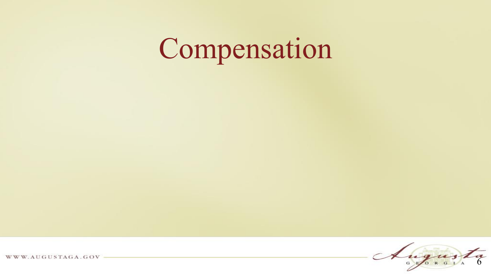# Compensation

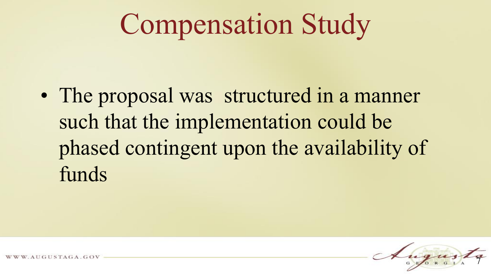# Compensation Study

• The proposal was structured in a manner such that the implementation could be phased contingent upon the availability of funds

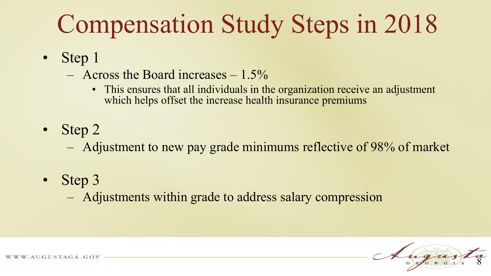## Compensation Study Steps in 2018

- Step 1
	- $-$  Across the Board increases  $-1.5\%$ 
		- This ensures that all individuals in the organization receive an adjustment which helps offset the increase health insurance premiums
- Step 2

– Adjustment to new pay grade minimums reflective of 98% of market

• Step 3

– Adjustments within grade to address salary compression

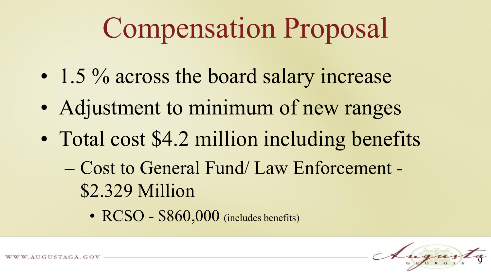# Compensation Proposal

- 1.5 % across the board salary increase
- Adjustment to minimum of new ranges
- Total cost \$4.2 million including benefits
	- Cost to General Fund/ Law Enforcement \$2.329 Million
		- RCSO \$860,000 (includes benefits)

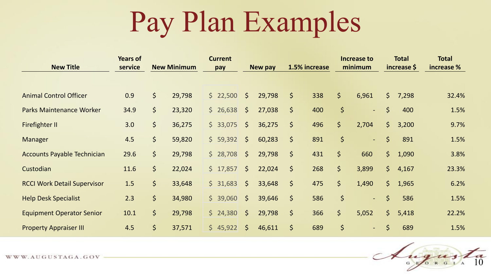# Pay Plan Examples

| <b>New Title</b>                   | <b>Years of</b><br>service |                            | <b>New Minimum</b> | <b>Current</b><br>pay |                     | <b>New pay</b> |         | 1.5% increase |             | Increase to<br>minimum |              | <b>Total</b><br>increase \$ | <b>Total</b><br>increase % |
|------------------------------------|----------------------------|----------------------------|--------------------|-----------------------|---------------------|----------------|---------|---------------|-------------|------------------------|--------------|-----------------------------|----------------------------|
|                                    |                            |                            |                    |                       |                     |                |         |               |             |                        |              |                             |                            |
| <b>Animal Control Officer</b>      | 0.9                        | $\varsigma$                | 29,798             | \$22,500              | $\zeta$             | 29,798         | $\zeta$ | 338           | $\zeta$     | 6,961                  | $\mathsf{S}$ | 7,298                       | 32.4%                      |
| <b>Parks Maintenance Worker</b>    | 34.9                       | $\zeta$                    | 23,320             | \$26,638              | $\zeta$             | 27,038         | $\zeta$ | 400           | $\varsigma$ | $\sim$                 | $\zeta$      | 400                         | 1.5%                       |
| Firefighter II                     | 3.0                        | $\varsigma$                | 36,275             | \$33,075              | $\zeta$             | 36,275         | \$      | 496           | $\zeta$     | 2,704                  | \$           | 3,200                       | 9.7%                       |
| Manager                            | 4.5                        | $\varsigma$                | 59,820             | \$59,392              | $\ddot{\mathsf{S}}$ | 60,283         | $\zeta$ | 891           | \$          | $\sim$                 | $\zeta$      | 891                         | 1.5%                       |
| <b>Accounts Payable Technician</b> | 29.6                       | $\zeta$                    | 29,798             | \$28,708              | $\sqrt{5}$          | 29,798         | $\zeta$ | 431           | $\zeta$     | 660                    | $\mathsf{S}$ | 1,090                       | 3.8%                       |
| Custodian                          | 11.6                       | $\zeta$                    | 22,024             | \$17,857              | $\zeta$             | 22,024         | $\zeta$ | 268           | $\zeta$     | 3,899                  | \$           | 4,167                       | 23.3%                      |
| <b>RCCI Work Detail Supervisor</b> | 1.5                        | $\zeta$                    | 33,648             | \$31,683              | $\zeta$             | 33,648         | $\zeta$ | 475           | \$          | 1,490                  | $\mathsf{S}$ | 1,965                       | 6.2%                       |
| <b>Help Desk Specialist</b>        | 2.3                        | $\varsigma$                | 34,980             | \$39,060              | $\sqrt{5}$          | 39,646         | $\zeta$ | 586           | $\zeta$     | $\sim$                 | $\mathsf{S}$ | 586                         | 1.5%                       |
| <b>Equipment Operator Senior</b>   | 10.1                       | $\varsigma$                | 29,798             | \$24,380              | $\zeta$             | 29,798         | $\zeta$ | 366           | $\zeta$     | 5,052                  | $\mathsf{S}$ | 5,418                       | 22.2%                      |
| <b>Property Appraiser III</b>      | 4.5                        | $\left  \varsigma \right $ | 37,571             | \$45,922              | 5                   | 46,611         | $\zeta$ | 689           | $\zeta$     | $\sim$                 | $\zeta$      | 689                         | 1.5%                       |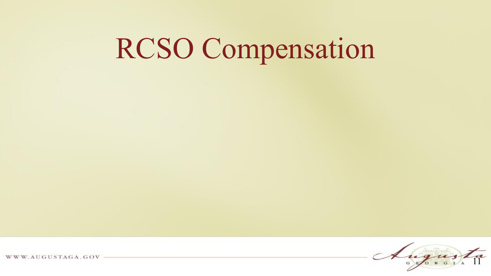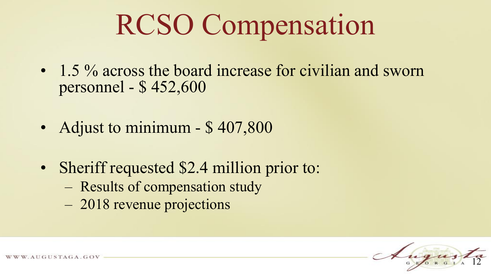- 1.5 % across the board increase for civilian and sworn personnel - \$ 452,600
- Adjust to minimum \$407,800
- Sheriff requested \$2.4 million prior to:
	- Results of compensation study
	- 2018 revenue projections

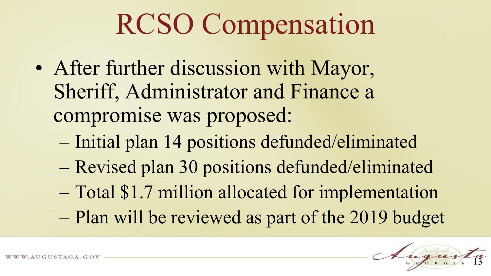- After further discussion with Mayor, Sheriff, Administrator and Finance a compromise was proposed:
	- Initial plan 14 positions defunded/eliminated
	- Revised plan 30 positions defunded/eliminated
	- Total \$1.7 million allocated for implementation
	- Plan will be reviewed as part of the 2019 budget

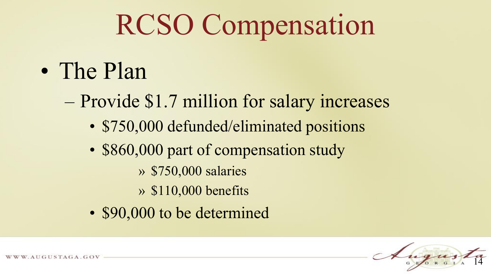- The Plan
	- Provide \$1.7 million for salary increases
		- \$750,000 defunded/eliminated positions
		- \$860,000 part of compensation study
			- » \$750,000 salaries
			- » \$110,000 benefits
		- \$90,000 to be determined

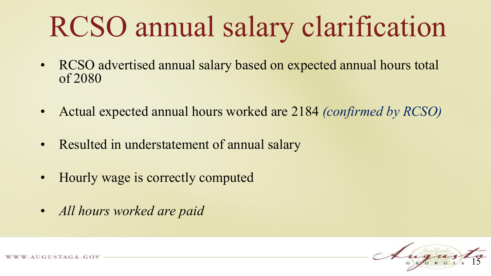# RCSO annual salary clarification

- RCSO advertised annual salary based on expected annual hours total of 2080
- Actual expected annual hours worked are 2184 *(confirmed by RCSO)*
- Resulted in understatement of annual salary
- Hourly wage is correctly computed
- *All hours worked are paid*

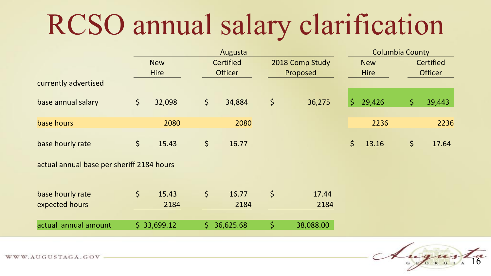# RCSO annual salary clarification

|                                           | Augusta |             |             |                  |             | <b>Columbia County</b> |              |             |         |                  |
|-------------------------------------------|---------|-------------|-------------|------------------|-------------|------------------------|--------------|-------------|---------|------------------|
|                                           |         | <b>New</b>  |             | <b>Certified</b> |             | 2018 Comp Study        |              | <b>New</b>  |         | <b>Certified</b> |
|                                           |         | <b>Hire</b> |             | <b>Officer</b>   |             | Proposed               |              | <b>Hire</b> |         | <b>Officer</b>   |
| currently advertised                      |         |             |             |                  |             |                        |              |             |         |                  |
| base annual salary                        | $\zeta$ | 32,098      | $\varsigma$ | 34,884           | $\varsigma$ | 36,275                 | $\mathsf{S}$ | 29,426      | $\zeta$ | 39,443           |
| base hours                                |         | 2080        |             | 2080             |             |                        |              | 2236        |         | 2236             |
| base hourly rate                          | $\zeta$ | 15.43       | $\varsigma$ | 16.77            |             |                        | \$           | 13.16       | $\zeta$ | 17.64            |
| actual annual base per sheriff 2184 hours |         |             |             |                  |             |                        |              |             |         |                  |
| base hourly rate                          | $\zeta$ | 15.43       | $\zeta$     | 16.77            | $\varsigma$ | 17.44                  |              |             |         |                  |
| expected hours                            |         | 2184        |             | 2184             |             | 2184                   |              |             |         |                  |

 $\frac{1}{2}$  actual annual amount  $\frac{1}{2}$  33,699.12  $\frac{1}{2}$  36,625.68  $\frac{1}{2}$  38,088.00

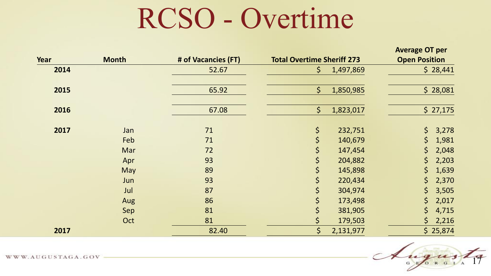## RCSO - Overtime

|      |              |                     |                                   | <b>Average OT per</b> |
|------|--------------|---------------------|-----------------------------------|-----------------------|
| Year | <b>Month</b> | # of Vacancies (FT) | <b>Total Overtime Sheriff 273</b> | <b>Open Position</b>  |
| 2014 |              | 52.67               | $\zeta$<br>1,497,869              | \$28,441              |
| 2015 |              | 65.92               | $\zeta$<br>1,850,985              | \$28,081              |
| 2016 |              | 67.08               | $\zeta$<br>1,823,017              | \$27,175              |
| 2017 | Jan          | 71                  | \$<br>232,751                     | \$<br>3,278           |
|      | Feb          | 71                  | $\varsigma$<br>140,679            | $\zeta$<br>1,981      |
|      | Mar          | 72                  | \$<br>147,454                     | \$<br>2,048           |
|      | Apr          | 93                  | \$<br>204,882                     | \$<br>2,203           |
|      | May          | 89                  | \$<br>145,898                     | \$<br>1,639           |
|      | Jun          | 93                  | \$<br>220,434                     | $\zeta$<br>2,370      |
|      | Jul          | 87                  | \$<br>304,974                     | \$<br>3,505           |
|      | Aug          | 86                  | \$<br>173,498                     | $\zeta$<br>2,017      |
|      | Sep          | 81                  | \$<br>381,905                     | \$<br>4,715           |
|      | Oct          | 81                  | \$<br>179,503                     | \$<br>2,216           |
| 2017 |              | 82.40               | \$<br>2,131,977                   | \$25,874              |

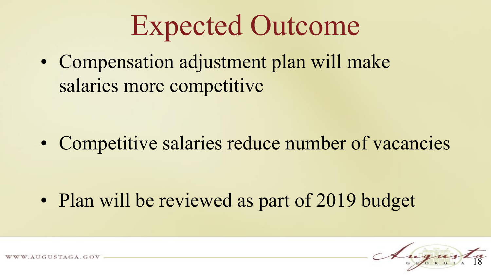## Expected Outcome

• Compensation adjustment plan will make salaries more competitive

• Competitive salaries reduce number of vacancies

• Plan will be reviewed as part of 2019 budget

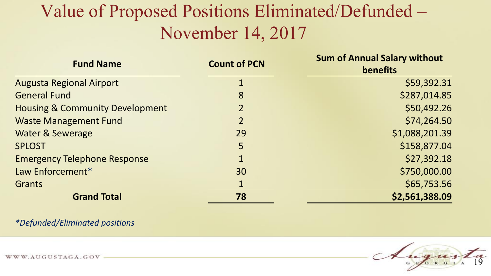#### Value of Proposed Positions Eliminated/Defunded – November 14, 2017

| <b>Fund Name</b>                           | <b>Count of PCN</b> | <b>Sum of Annual Salary without</b><br>benefits |  |  |
|--------------------------------------------|---------------------|-------------------------------------------------|--|--|
| <b>Augusta Regional Airport</b>            |                     | \$59,392.31                                     |  |  |
| <b>General Fund</b>                        | 8                   | \$287,014.85                                    |  |  |
| <b>Housing &amp; Community Development</b> | $\overline{2}$      | \$50,492.26                                     |  |  |
| <b>Waste Management Fund</b>               | $\overline{2}$      | \$74,264.50                                     |  |  |
| <b>Water &amp; Sewerage</b>                | 29                  | \$1,088,201.39                                  |  |  |
| <b>SPLOST</b>                              | 5                   | \$158,877.04                                    |  |  |
| <b>Emergency Telephone Response</b>        |                     | \$27,392.18                                     |  |  |
| Law Enforcement*                           | 30                  | \$750,000.00                                    |  |  |
| <b>Grants</b>                              | $\mathbf{1}$        | \$65,753.56                                     |  |  |
| <b>Grand Total</b>                         | 78                  | \$2,561,388.09                                  |  |  |

*\*Defunded/Eliminated positions*

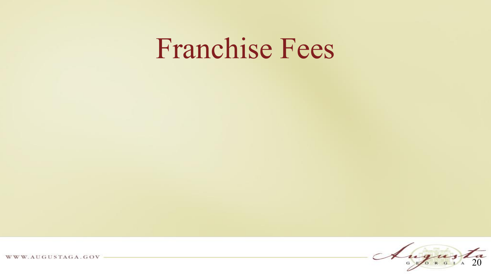## Franchise Fees

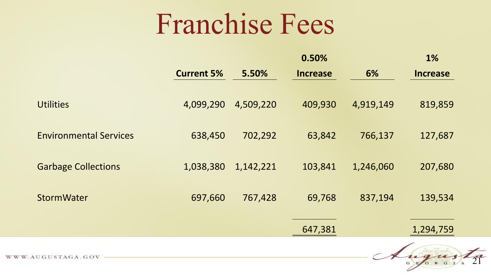## Franchise Fees

|                               |                   |           | 0.50%           |           | 1%              |
|-------------------------------|-------------------|-----------|-----------------|-----------|-----------------|
|                               | <b>Current 5%</b> | 5.50%     | <b>Increase</b> | 6%        | <b>Increase</b> |
|                               |                   |           |                 |           |                 |
| <b>Utilities</b>              | 4,099,290         | 4,509,220 | 409,930         | 4,919,149 | 819,859         |
|                               |                   |           |                 |           |                 |
| <b>Environmental Services</b> | 638,450           | 702,292   | 63,842          | 766,137   | 127,687         |
|                               |                   |           |                 |           |                 |
| <b>Garbage Collections</b>    | 1,038,380         | 1,142,221 | 103,841         | 1,246,060 | 207,680         |
|                               |                   |           |                 |           |                 |
| <b>StormWater</b>             | 697,660           | 767,428   | 69,768          | 837,194   | 139,534         |
|                               |                   |           |                 |           |                 |
|                               |                   |           |                 |           |                 |
|                               |                   |           | 647,381         |           | 1,294,759       |

Augusta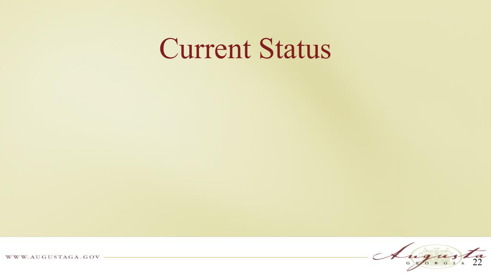## Current Status

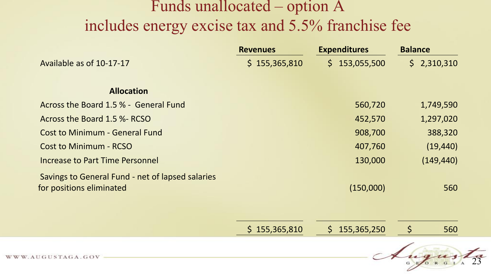#### Funds unallocated – option A includes energy excise tax and 5.5% franchise fee

|                                                  | <b>Revenues</b> | <b>Expenditures</b> | <b>Balance</b>     |
|--------------------------------------------------|-----------------|---------------------|--------------------|
| Available as of 10-17-17                         | \$155,365,810   | \$153,055,500       | \$2,310,310        |
|                                                  |                 |                     |                    |
| <b>Allocation</b>                                |                 |                     |                    |
| Across the Board 1.5 % - General Fund            |                 | 560,720             | 1,749,590          |
| Across the Board 1.5 %- RCSO                     |                 | 452,570             | 1,297,020          |
| <b>Cost to Minimum - General Fund</b>            |                 | 908,700             | 388,320            |
| <b>Cost to Minimum - RCSO</b>                    |                 | 407,760             | (19, 440)          |
| Increase to Part Time Personnel                  |                 | 130,000             | (149, 440)         |
| Savings to General Fund - net of lapsed salaries |                 |                     |                    |
| for positions eliminated                         |                 | (150,000)           | 560                |
|                                                  |                 |                     |                    |
|                                                  |                 |                     |                    |
|                                                  | \$155,365,810   | \$155,365,250       | $\varsigma$<br>560 |
|                                                  |                 |                     |                    |

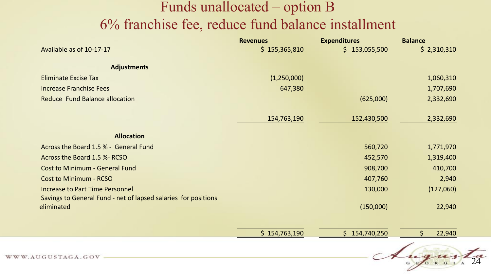#### Funds unallocated – option B 6% franchise fee, reduce fund balance installment

|                                                                              | <b>Revenues</b> | <b>Expenditures</b> | <b>Balance</b>         |  |
|------------------------------------------------------------------------------|-----------------|---------------------|------------------------|--|
| Available as of 10-17-17                                                     | \$155,365,810   | \$153,055,500       | \$2,310,310            |  |
| <b>Adjustments</b>                                                           |                 |                     |                        |  |
| <b>Eliminate Excise Tax</b>                                                  | (1,250,000)     |                     | 1,060,310              |  |
| <b>Increase Franchise Fees</b>                                               | 647,380         |                     | 1,707,690              |  |
| Reduce Fund Balance allocation                                               |                 | (625,000)           | 2,332,690              |  |
|                                                                              | 154,763,190     | 152,430,500         | 2,332,690              |  |
| <b>Allocation</b>                                                            |                 |                     |                        |  |
| Across the Board 1.5 % - General Fund                                        |                 | 560,720             | 1,771,970              |  |
| Across the Board 1.5 %- RCSO                                                 |                 | 452,570             | 1,319,400              |  |
| <b>Cost to Minimum - General Fund</b>                                        |                 | 908,700             | 410,700                |  |
| <b>Cost to Minimum - RCSO</b>                                                |                 | 407,760             | 2,940                  |  |
| <b>Increase to Part Time Personnel</b>                                       |                 | 130,000             | (127,060)              |  |
| Savings to General Fund - net of lapsed salaries for positions<br>eliminated |                 | (150,000)           | 22,940                 |  |
|                                                                              | \$154,763,190   | \$154,740,250       | $\mathsf{S}$<br>22,940 |  |
|                                                                              |                 |                     | 1736                   |  |

Augusta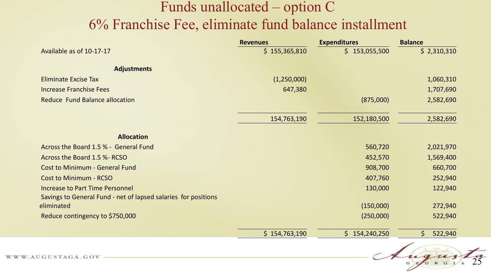#### Funds unallocated – option C 6% Franchise Fee, eliminate fund balance installment

|                                                                | <b>Revenues</b> | <b>Expenditures</b> | <b>Balance</b> |
|----------------------------------------------------------------|-----------------|---------------------|----------------|
| Available as of 10-17-17                                       | \$155,365,810   | \$153,055,500       | \$2,310,310    |
| <b>Adjustments</b>                                             |                 |                     |                |
| <b>Eliminate Excise Tax</b>                                    | (1,250,000)     |                     | 1,060,310      |
| <b>Increase Franchise Fees</b>                                 | 647,380         |                     | 1,707,690      |
| <b>Reduce Fund Balance allocation</b>                          |                 | (875,000)           | 2,582,690      |
|                                                                | 154,763,190     | 152,180,500         | 2,582,690      |
| <b>Allocation</b>                                              |                 |                     |                |
| Across the Board 1.5 % - General Fund                          |                 | 560,720             | 2,021,970      |
| Across the Board 1.5 %- RCSO                                   |                 | 452,570             | 1,569,400      |
| <b>Cost to Minimum - General Fund</b>                          |                 | 908,700             | 660,700        |
| <b>Cost to Minimum - RCSO</b>                                  |                 | 407,760             | 252,940        |
| <b>Increase to Part Time Personnel</b>                         |                 | 130,000             | 122,940        |
| Savings to General Fund - net of lapsed salaries for positions |                 |                     |                |
| eliminated                                                     |                 | (150,000)           | 272,940        |
| Reduce contingency to \$750,000                                |                 | (250,000)           | 522,940        |
|                                                                | \$154,763,190   | \$154,240,250       | \$<br>522,940  |

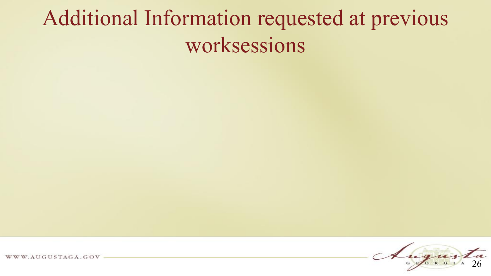### Additional Information requested at previous worksessions



W. AUGUSTAGA. GOV W W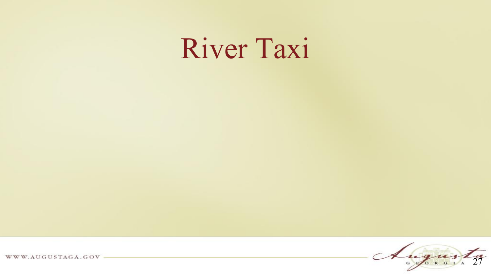## River Taxi

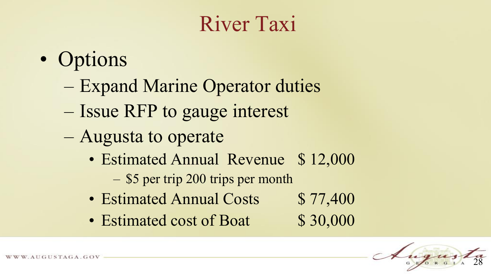### River Taxi

- Options
	- Expand Marine Operator duties
	- Issue RFP to gauge interest
	- Augusta to operate
		- Estimated Annual Revenue \$12,000
			- \$5 per trip 200 trips per month
		- Estimated Annual Costs \$77,400
		- Estimated cost of Boat \$30,000

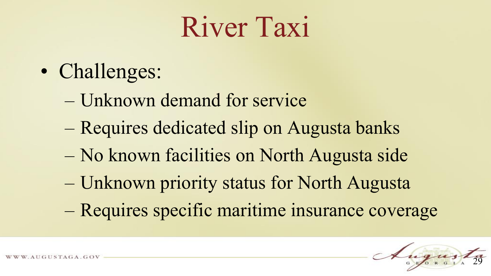## River Taxi

- Challenges:
	- Unknown demand for service
	- Requires dedicated slip on Augusta banks
	- No known facilities on North Augusta side
	- Unknown priority status for North Augusta
	- Requires specific maritime insurance coverage

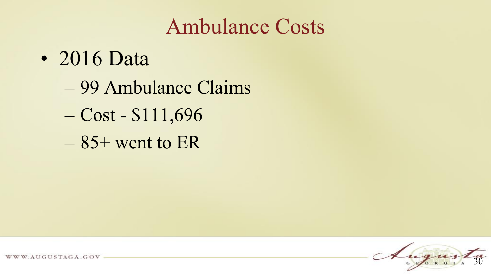#### Ambulance Costs

- 2016 Data
	- 99 Ambulance Claims
	- Cost \$111,696
	- $-85+$  went to ER

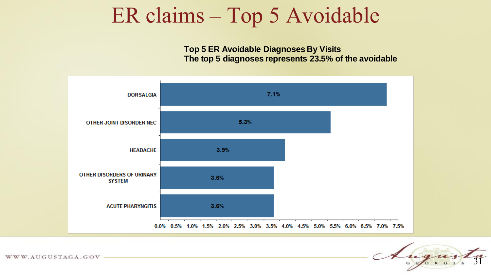#### ER claims – Top 5 Avoidable

**Top 5 ER Avoidable Diagnoses By Visits The top 5 diagnoses represents 23.5% of the avoidable**

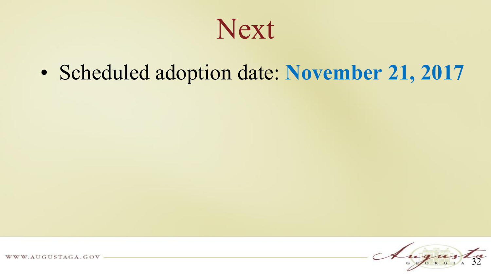Next

• Scheduled adoption date: **November 21, 2017**